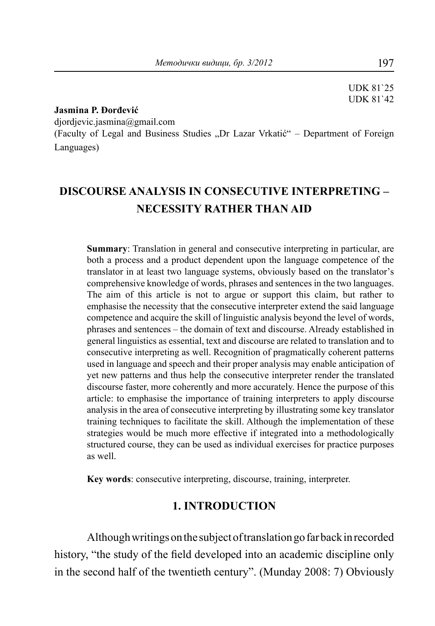UDK 81`25 UDK 81`42

#### **Jasmina P. Đorđević**

djordjevic.jasmina@gmail.com

(Faculty of Legal and Business Studies "Dr Lazar Vrkatić" – Department of Foreign Languages)

# **DISCOURSE ANALYSIS IN CONSECUTIVE INTERPRETING – NECESSITY RATHER THAN AID**

**Summary**: Translation in general and consecutive interpreting in particular, are both a process and a product dependent upon the language competence of the translator in at least two language systems, obviously based on the translator's comprehensive knowledge of words, phrases and sentences in the two languages. The aim of this article is not to argue or support this claim, but rather to emphasise the necessity that the consecutive interpreter extend the said language competence and acquire the skill of linguistic analysis beyond the level of words, phrases and sentences – the domain of text and discourse. Already established in general linguistics as essential, text and discourse are related to translation and to consecutive interpreting as well. Recognition of pragmatically coherent patterns used in language and speech and their proper analysis may enable anticipation of yet new patterns and thus help the consecutive interpreter render the translated discourse faster, more coherently and more accurately. Hence the purpose of this article: to emphasise the importance of training interpreters to apply discourse analysis in the area of consecutive interpreting by illustrating some key translator training techniques to facilitate the skill. Although the implementation of these strategies would be much more effective if integrated into a methodologically structured course, they can be used as individual exercises for practice purposes as well.

**Key words**: consecutive interpreting, discourse, training, interpreter.

#### **1. INTRODUCTION**

Although writings on the subject of translation go far back in recorded history, "the study of the field developed into an academic discipline only in the second half of the twentieth century". (Munday 2008: 7) Obviously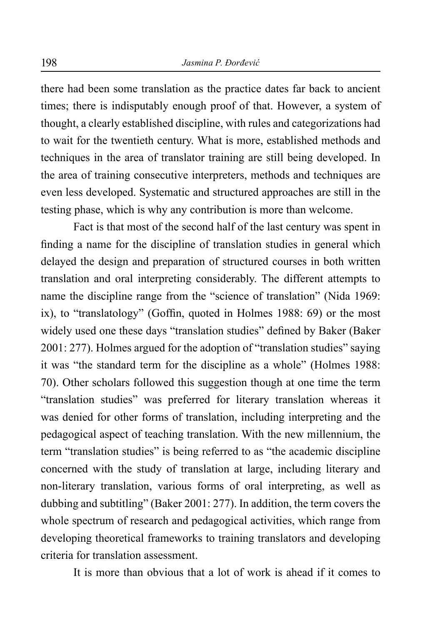there had been some translation as the practice dates far back to ancient times; there is indisputably enough proof of that. However, a system of thought, a clearly established discipline, with rules and categorizations had to wait for the twentieth century. What is more, established methods and techniques in the area of translator training are still being developed. In the area of training consecutive interpreters, methods and techniques are even less developed. Systematic and structured approaches are still in the testing phase, which is why any contribution is more than welcome.

Fact is that most of the second half of the last century was spent in finding a name for the discipline of translation studies in general which delayed the design and preparation of structured courses in both written translation and oral interpreting considerably. The different attempts to name the discipline range from the "science of translation" (Nida 1969: ix), to "translatology" (Goffin, quoted in Holmes 1988: 69) or the most widely used one these days "translation studies" defined by Baker (Baker 2001: 277). Holmes argued for the adoption of "translation studies" saying it was "the standard term for the discipline as a whole" (Holmes 1988: 70). Other scholars followed this suggestion though at one time the term "translation studies" was preferred for literary translation whereas it was denied for other forms of translation, including interpreting and the pedagogical aspect of teaching translation. With the new millennium, the term "translation studies" is being referred to as "the academic discipline concerned with the study of translation at large, including literary and non-literary translation, various forms of oral interpreting, as well as dubbing and subtitling" (Baker 2001: 277). In addition, the term covers the whole spectrum of research and pedagogical activities, which range from developing theoretical frameworks to training translators and developing criteria for translation assessment.

It is more than obvious that a lot of work is ahead if it comes to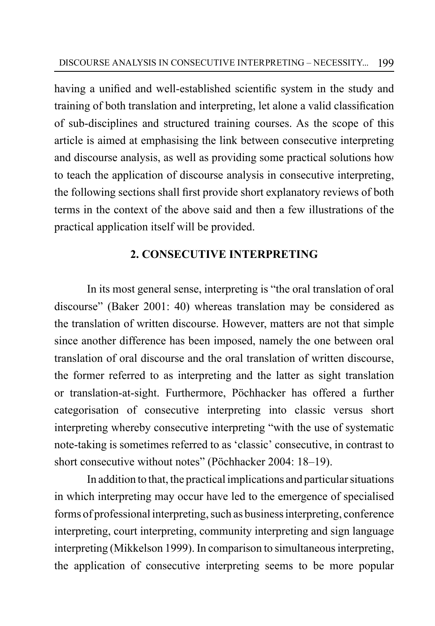having a unified and well-established scientific system in the study and training of both translation and interpreting, let alone a valid classification of sub-disciplines and structured training courses. As the scope of this article is aimed at emphasising the link between consecutive interpreting and discourse analysis, as well as providing some practical solutions how to teach the application of discourse analysis in consecutive interpreting, the following sections shall first provide short explanatory reviews of both terms in the context of the above said and then a few illustrations of the practical application itself will be provided.

### **2. CONSECUTIVE INTERPRETING**

In its most general sense, interpreting is "the oral translation of oral discourse" (Baker 2001: 40) whereas translation may be considered as the translation of written discourse. However, matters are not that simple since another difference has been imposed, namely the one between oral translation of oral discourse and the oral translation of written discourse, the former referred to as interpreting and the latter as sight translation or translation-at-sight. Furthermore, Pöchhacker has offered a further categorisation of consecutive interpreting into classic versus short interpreting whereby consecutive interpreting "with the use of systematic note-taking is sometimes referred to as 'classic' consecutive, in contrast to short consecutive without notes" (Pöchhacker 2004: 18–19).

In addition to that, the practical implications and particular situations in which interpreting may occur have led to the emergence of specialised forms of professional interpreting, such as business interpreting, conference interpreting, court interpreting, community interpreting and sign language interpreting (Mikkelson 1999). In comparison to simultaneous interpreting, the application of consecutive interpreting seems to be more popular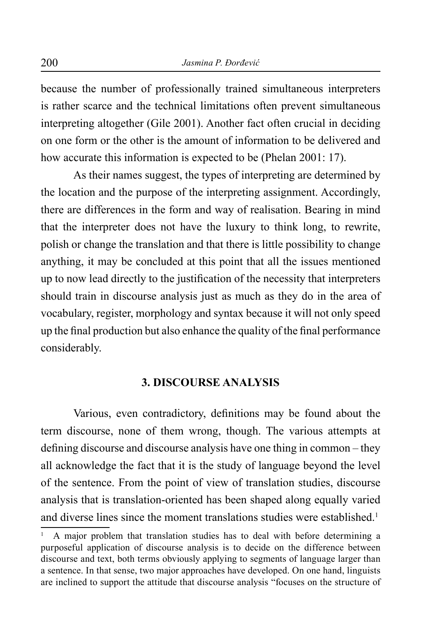because the number of professionally trained simultaneous interpreters is rather scarce and the technical limitations often prevent simultaneous interpreting altogether (Gile 2001). Another fact often crucial in deciding on one form or the other is the amount of information to be delivered and how accurate this information is expected to be (Phelan 2001: 17).

As their names suggest, the types of interpreting are determined by the location and the purpose of the interpreting assignment. Accordingly, there are differences in the form and way of realisation. Bearing in mind that the interpreter does not have the luxury to think long, to rewrite, polish or change the translation and that there is little possibility to change anything, it may be concluded at this point that all the issues mentioned up to now lead directly to the justification of the necessity that interpreters should train in discourse analysis just as much as they do in the area of vocabulary, register, morphology and syntax because it will not only speed up the final production but also enhance the quality of the final performance considerably.

#### **3. DISCOURSE ANALYSIS**

Various, even contradictory, definitions may be found about the term discourse, none of them wrong, though. The various attempts at defining discourse and discourse analysis have one thing in common – they all acknowledge the fact that it is the study of language beyond the level of the sentence. From the point of view of translation studies, discourse analysis that is translation-oriented has been shaped along equally varied and diverse lines since the moment translations studies were established.<sup>1</sup>

<sup>1</sup> A major problem that translation studies has to deal with before determining a purposeful application of discourse analysis is to decide on the difference between discourse and text, both terms obviously applying to segments of language larger than a sentence. In that sense, two major approaches have developed. On one hand, linguists are inclined to support the attitude that discourse analysis "focuses on the structure of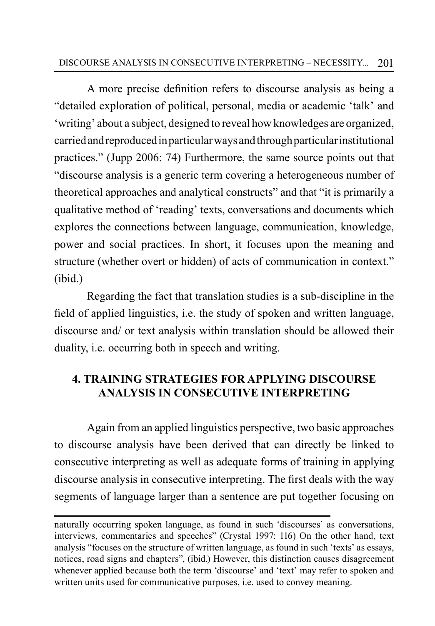### 201 DISCOURSE ANALYSIS IN CONSECUTIVE INTERPRETING – NECESSITY...

A more precise definition refers to discourse analysis as being a "detailed exploration of political, personal, media or academic 'talk' and 'writing' about a subject, designed to reveal how knowledges are organized, carried and reproduced in particular ways and through particular institutional practices." (Jupp 2006: 74) Furthermore, the same source points out that "discourse analysis is a generic term covering a heterogeneous number of theoretical approaches and analytical constructs" and that "it is primarily a qualitative method of 'reading' texts, conversations and documents which explores the connections between language, communication, knowledge, power and social practices. In short, it focuses upon the meaning and structure (whether overt or hidden) of acts of communication in context." (ibid.)

Regarding the fact that translation studies is a sub-discipline in the field of applied linguistics, i.e. the study of spoken and written language, discourse and/ or text analysis within translation should be allowed their duality, i.e. occurring both in speech and writing.

## **4. TRAINING STRATEGIES FOR APPLYING DISCOURSE ANALYSIS IN CONSECUTIVE INTERPRETING**

Again from an applied linguistics perspective, two basic approaches to discourse analysis have been derived that can directly be linked to consecutive interpreting as well as adequate forms of training in applying discourse analysis in consecutive interpreting. The first deals with the way segments of language larger than a sentence are put together focusing on

naturally occurring spoken language, as found in such 'discourses' as conversations, interviews, commentaries and speeches" (Crystal 1997: 116) On the other hand, text analysis "focuses on the structure of written language, as found in such 'texts' as essays, notices, road signs and chapters", (ibid.) However, this distinction causes disagreement whenever applied because both the term 'discourse' and 'text' may refer to spoken and written units used for communicative purposes, i.e. used to convey meaning.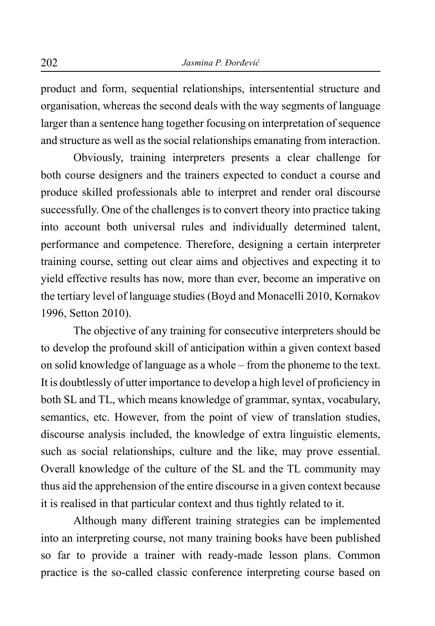product and form, sequential relationships, intersentential structure and organisation, whereas the second deals with the way segments of language larger than a sentence hang together focusing on interpretation of sequence and structure as well as the social relationships emanating from interaction.

Obviously, training interpreters presents a clear challenge for both course designers and the trainers expected to conduct a course and produce skilled professionals able to interpret and render oral discourse successfully. One of the challenges is to convert theory into practice taking into account both universal rules and individually determined talent, performance and competence. Therefore, designing a certain interpreter training course, setting out clear aims and objectives and expecting it to yield effective results has now, more than ever, become an imperative on the tertiary level of language studies (Boyd and Monacelli 2010, Kornakov 1996, Setton 2010).

The objective of any training for consecutive interpreters should be to develop the profound skill of anticipation within a given context based on solid knowledge of language as a whole – from the phoneme to the text. It is doubtlessly of utter importance to develop a high level of proficiency in both SL and TL, which means knowledge of grammar, syntax, vocabulary, semantics, etc. However, from the point of view of translation studies, discourse analysis included, the knowledge of extra linguistic elements, such as social relationships, culture and the like, may prove essential. Overall knowledge of the culture of the SL and the TL community may thus aid the apprehension of the entire discourse in a given context because it is realised in that particular context and thus tightly related to it.

Although many different training strategies can be implemented into an interpreting course, not many training books have been published so far to provide a trainer with ready-made lesson plans. Common practice is the so-called classic conference interpreting course based on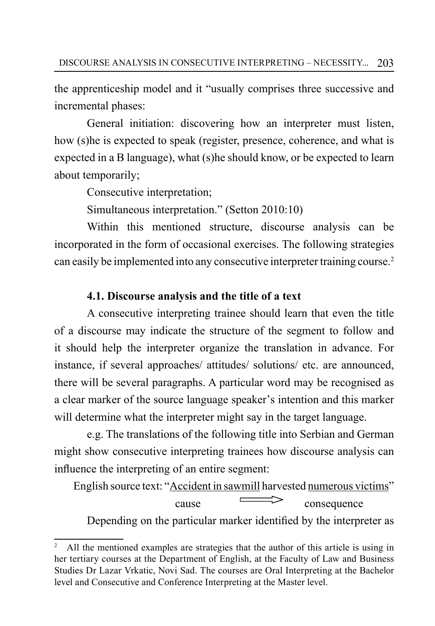the apprenticeship model and it "usually comprises three successive and incremental phases:

General initiation: discovering how an interpreter must listen, how (s)he is expected to speak (register, presence, coherence, and what is expected in a B language), what (s)he should know, or be expected to learn about temporarily;

Consecutive interpretation;

Simultaneous interpretation." (Setton 2010:10)

Within this mentioned structure, discourse analysis can be incorporated in the form of occasional exercises. The following strategies can easily be implemented into any consecutive interpreter training course.2

### **4.1. Discourse analysis and the title of a text**

A consecutive interpreting trainee should learn that even the title of a discourse may indicate the structure of the segment to follow and it should help the interpreter organize the translation in advance. For instance, if several approaches/ attitudes/ solutions/ etc. are announced, there will be several paragraphs. A particular word may be recognised as a clear marker of the source language speaker's intention and this marker will determine what the interpreter might say in the target language.

e.g. The translations of the following title into Serbian and German might show consecutive interpreting trainees how discourse analysis can influence the interpreting of an entire segment:

English source text: "Accident in sawmill harvested numerous victims"  $\overline{\phantom{a}}$  consequence

Depending on the particular marker identified by the interpreter as

<sup>&</sup>lt;sup>2</sup> All the mentioned examples are strategies that the author of this article is using in her tertiary courses at the Department of English, at the Faculty of Law and Business Studies Dr Lazar Vrkatic, Novi Sad. The courses are Oral Interpreting at the Bachelor level and Consecutive and Conference Interpreting at the Master level.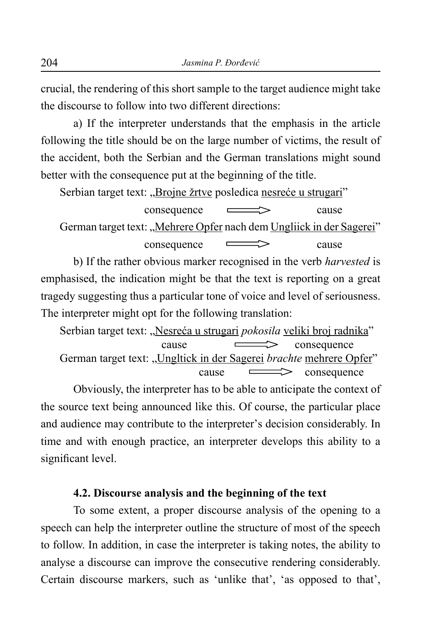crucial, the rendering of this short sample to the target audience might take the discourse to follow into two different directions:

a) If the interpreter understands that the emphasis in the article following the title should be on the large number of victims, the result of the accident, both the Serbian and the German translations might sound better with the consequence put at the beginning of the title.

Serbian target text: "Brojne žrtve posledica nesreće u strugari"

 $\longleftarrow$  cause German target text: "Mehrere Opfer nach dem Ungliick in der Sagerei" consequence cause

b) If the rather obvious marker recognised in the verb *harvested* is emphasised, the indication might be that the text is reporting on a great tragedy suggesting thus a particular tone of voice and level of seriousness. The interpreter might opt for the following translation:

Serbian target text: "Nesreća u strugari *pokosila* veliki broj radnika" cause consequence German target text: "Ungltick in der Sagerei *brachte* mehrere Opfer"  $\cos \theta$  consequence

Obviously, the interpreter has to be able to anticipate the context of the source text being announced like this. Of course, the particular place and audience may contribute to the interpreter's decision considerably. In time and with enough practice, an interpreter develops this ability to a significant level.

#### **4.2. Discourse analysis and the beginning of the text**

To some extent, a proper discourse analysis of the opening to a speech can help the interpreter outline the structure of most of the speech to follow. In addition, in case the interpreter is taking notes, the ability to analyse a discourse can improve the consecutive rendering considerably. Certain discourse markers, such as 'unlike that', 'as opposed to that',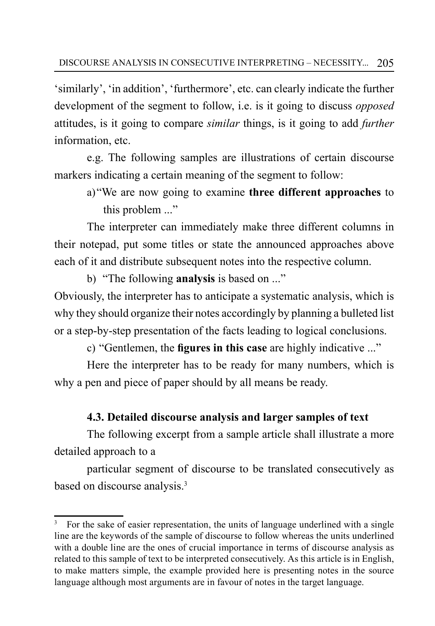'similarly', 'in addition', 'furthermore', etc. can clearly indicate the further development of the segment to follow, i.e. is it going to discuss *opposed* attitudes, is it going to compare *similar* things, is it going to add *further* information etc.

e.g. The following samples are illustrations of certain discourse markers indicating a certain meaning of the segment to follow:

a)"We are now going to examine **three different approaches** to this problem ..."

The interpreter can immediately make three different columns in their notepad, put some titles or state the announced approaches above each of it and distribute subsequent notes into the respective column.

b) "The following **analysis** is based on ..."

Obviously, the interpreter has to anticipate a systematic analysis, which is why they should organize their notes accordingly by planning a bulleted list or a step-by-step presentation of the facts leading to logical conclusions.

c) "Gentlemen, the **figures in this case** are highly indicative ..."

Here the interpreter has to be ready for many numbers, which is why a pen and piece of paper should by all means be ready.

## **4.3. Detailed discourse analysis and larger samples of text**

The following excerpt from a sample article shall illustrate a more detailed approach to a

particular segment of discourse to be translated consecutively as based on discourse analysis.<sup>3</sup>

<sup>3</sup> For the sake of easier representation, the units of language underlined with a single line are the keywords of the sample of discourse to follow whereas the units underlined with a double line are the ones of crucial importance in terms of discourse analysis as related to this sample of text to be interpreted consecutively. As this article is in English, to make matters simple, the example provided here is presenting notes in the source language although most arguments are in favour of notes in the target language.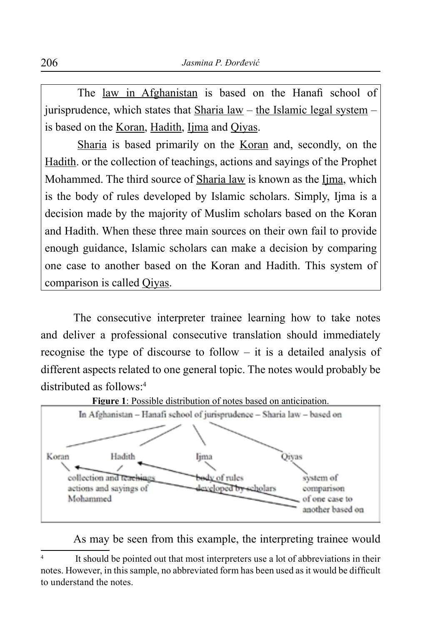The law in Afghanistan is based on the Hanafi school of jurisprudence, which states that Sharia law – the Islamic legal system – is based on the Koran, Hadith, Ijma and Qiyas.

Sharia is based primarily on the Koran and, secondly, on the Hadith. or the collection of teachings, actions and sayings of the Prophet Mohammed. The third source of Sharia law is known as the Ijma, which is the body of rules developed by Islamic scholars. Simply, Ijma is a decision made by the majority of Muslim scholars based on the Koran and Hadith. When these three main sources on their own fail to provide enough guidance, Islamic scholars can make a decision by comparing one case to another based on the Koran and Hadith. This system of comparison is called Qiyas.

The consecutive interpreter trainee learning how to take notes and deliver a professional consecutive translation should immediately recognise the type of discourse to follow – it is a detailed analysis of different aspects related to one general topic. The notes would probably be distributed as follows:4



**Figure 1**: Possible distribution of notes based on anticipation.

As may be seen from this example, the interpreting trainee would

<sup>4</sup> It should be pointed out that most interpreters use a lot of abbreviations in their notes. However, in this sample, no abbreviated form has been used as it would be difficult to understand the notes.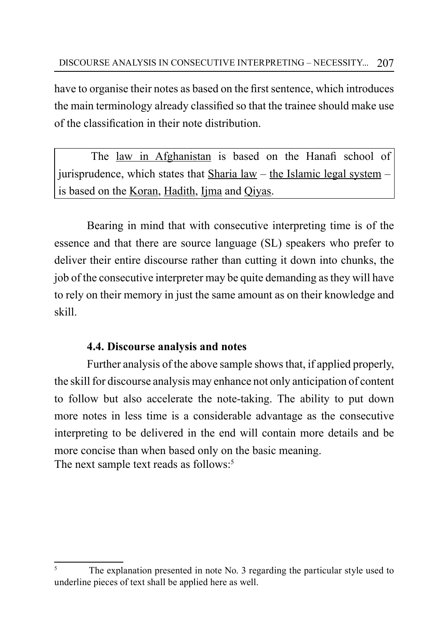have to organise their notes as based on the first sentence, which introduces the main terminology already classified so that the trainee should make use of the classification in their note distribution.

The law in Afghanistan is based on the Hanafi school of jurisprudence, which states that Sharia law – the Islamic legal system – is based on the Koran, Hadith, Ijma and Qiyas.

Bearing in mind that with consecutive interpreting time is of the essence and that there are source language (SL) speakers who prefer to deliver their entire discourse rather than cutting it down into chunks, the job of the consecutive interpreter may be quite demanding as they will have to rely on their memory in just the same amount as on their knowledge and skill.

## **4.4. Discourse analysis and notes**

Further analysis of the above sample shows that, if applied properly, the skill for discourse analysis may enhance not only anticipation of content to follow but also accelerate the note-taking. The ability to put down more notes in less time is a considerable advantage as the consecutive interpreting to be delivered in the end will contain more details and be more concise than when based only on the basic meaning. The next sample text reads as follows:<sup>5</sup>

<sup>5</sup> The explanation presented in note No. 3 regarding the particular style used to underline pieces of text shall be applied here as well.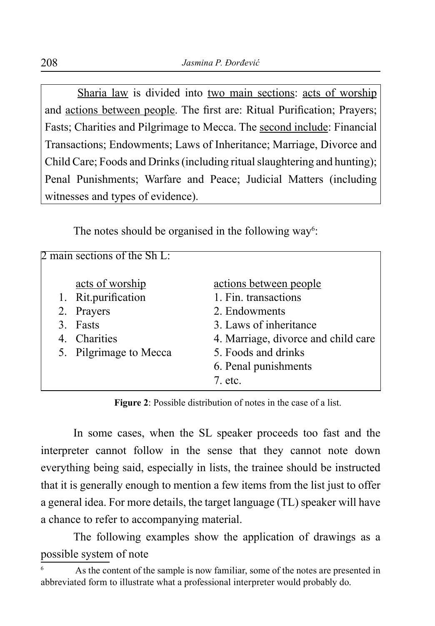Sharia law is divided into two main sections: acts of worship and actions between people. The first are: Ritual Purification; Prayers; Fasts; Charities and Pilgrimage to Mecca. The second include: Financial Transactions; Endowments; Laws of Inheritance; Marriage, Divorce and Child Care; Foods and Drinks (including ritual slaughtering and hunting); Penal Punishments; Warfare and Peace; Judicial Matters (including witnesses and types of evidence).

The notes should be organised in the following way<sup>6</sup>:

| 2 main sections of the Sh L: |                        |                                     |
|------------------------------|------------------------|-------------------------------------|
|                              |                        |                                     |
|                              | acts of worship        | actions between people              |
|                              | 1. Rit.purification    | 1. Fin. transactions                |
|                              | 2. Prayers             | 2. Endowments                       |
| $\mathcal{E}$                | Fasts                  | 3. Laws of inheritance              |
|                              | 4. Charities           | 4. Marriage, divorce and child care |
|                              | 5. Pilgrimage to Mecca | 5. Foods and drinks                 |
|                              |                        | 6. Penal punishments                |
|                              |                        | 7. etc.                             |

**Figure 2**: Possible distribution of notes in the case of a list.

In some cases, when the SL speaker proceeds too fast and the interpreter cannot follow in the sense that they cannot note down everything being said, especially in lists, the trainee should be instructed that it is generally enough to mention a few items from the list just to offer a general idea. For more details, the target language (TL) speaker will have a chance to refer to accompanying material.

The following examples show the application of drawings as a possible system of note

<sup>6</sup> As the content of the sample is now familiar, some of the notes are presented in abbreviated form to illustrate what a professional interpreter would probably do.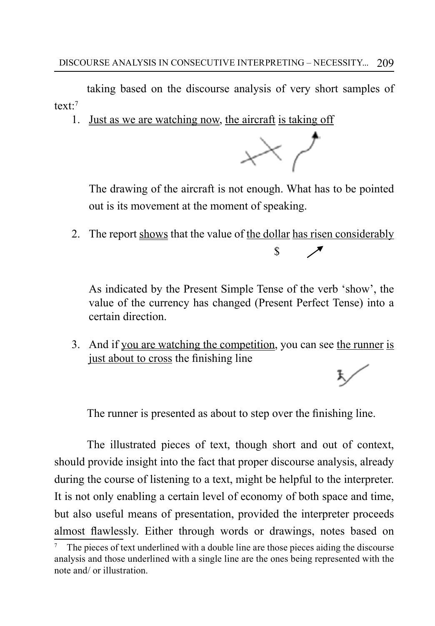taking based on the discourse analysis of very short samples of text $t<sup>7</sup>$ 

1. Just as we are watching now, the aircraft is taking off



The drawing of the aircraft is not enough. What has to be pointed out is its movement at the moment of speaking.

2. The report shows that the value of the dollar has risen considerably  $\mathbf{s}$ 

As indicated by the Present Simple Tense of the verb 'show', the value of the currency has changed (Present Perfect Tense) into a certain direction.

3. And if you are watching the competition, you can see the runner is just about to cross the finishing line

The runner is presented as about to step over the finishing line.

The illustrated pieces of text, though short and out of context, should provide insight into the fact that proper discourse analysis, already during the course of listening to a text, might be helpful to the interpreter. It is not only enabling a certain level of economy of both space and time, but also useful means of presentation, provided the interpreter proceeds almost flawlessly. Either through words or drawings, notes based on

<sup>7</sup> The pieces of text underlined with a double line are those pieces aiding the discourse analysis and those underlined with a single line are the ones being represented with the note and/ or illustration.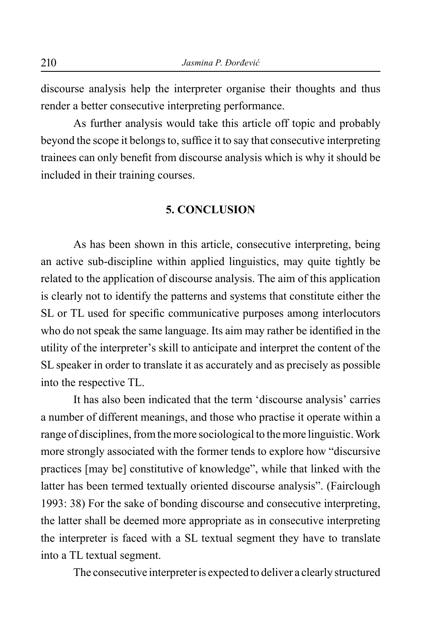discourse analysis help the interpreter organise their thoughts and thus render a better consecutive interpreting performance.

As further analysis would take this article off topic and probably beyond the scope it belongs to, suffice it to say that consecutive interpreting trainees can only benefit from discourse analysis which is why it should be included in their training courses.

#### **5. CONCLUSION**

As has been shown in this article, consecutive interpreting, being an active sub-discipline within applied linguistics, may quite tightly be related to the application of discourse analysis. The aim of this application is clearly not to identify the patterns and systems that constitute either the SL or TL used for specific communicative purposes among interlocutors who do not speak the same language. Its aim may rather be identified in the utility of the interpreter's skill to anticipate and interpret the content of the SL speaker in order to translate it as accurately and as precisely as possible into the respective TL.

It has also been indicated that the term 'discourse analysis' carries a number of different meanings, and those who practise it operate within a range of disciplines, from the more sociological to the more linguistic. Work more strongly associated with the former tends to explore how "discursive practices [may be] constitutive of knowledge", while that linked with the latter has been termed textually oriented discourse analysis". (Fairclough 1993: 38) For the sake of bonding discourse and consecutive interpreting, the latter shall be deemed more appropriate as in consecutive interpreting the interpreter is faced with a SL textual segment they have to translate into a TL textual segment.

The consecutive interpreter is expected to deliver a clearly structured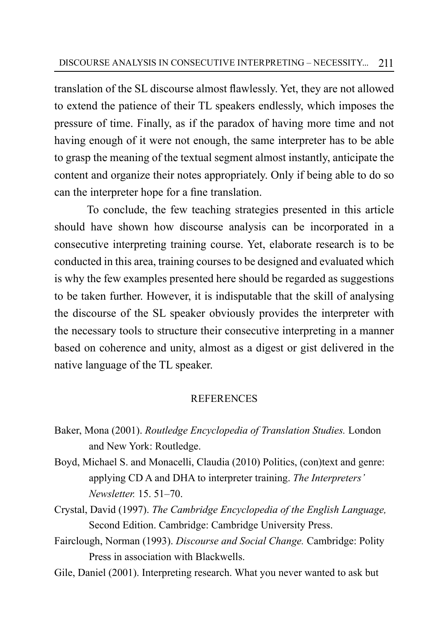translation of the SL discourse almost flawlessly. Yet, they are not allowed to extend the patience of their TL speakers endlessly, which imposes the pressure of time. Finally, as if the paradox of having more time and not having enough of it were not enough, the same interpreter has to be able to grasp the meaning of the textual segment almost instantly, anticipate the content and organize their notes appropriately. Only if being able to do so can the interpreter hope for a fine translation.

To conclude, the few teaching strategies presented in this article should have shown how discourse analysis can be incorporated in a consecutive interpreting training course. Yet, elaborate research is to be conducted in this area, training courses to be designed and evaluated which is why the few examples presented here should be regarded as suggestions to be taken further. However, it is indisputable that the skill of analysing the discourse of the SL speaker obviously provides the interpreter with the necessary tools to structure their consecutive interpreting in a manner based on coherence and unity, almost as a digest or gist delivered in the native language of the TL speaker.

### **REFERENCES**

- Baker, Mona (2001). *Routledge Encyclopedia of Translation Studies.* London and New York: Routledge.
- Boyd, Michael S. and Monacelli, Claudia (2010) Politics, (con)text and genre: applying CD A and DHA to interpreter training. *The Interpreters' Newsletter.* 15. 51–70.
- Crystal, David (1997). *The Cambridge Encyclopedia of the English Language,* Second Edition. Cambridge: Cambridge University Press.
- Fairclough, Norman (1993). *Discourse and Social Change.* Cambridge: Polity Press in association with Blackwells.
- Gile, Daniel (2001). Interpreting research. What you never wanted to ask but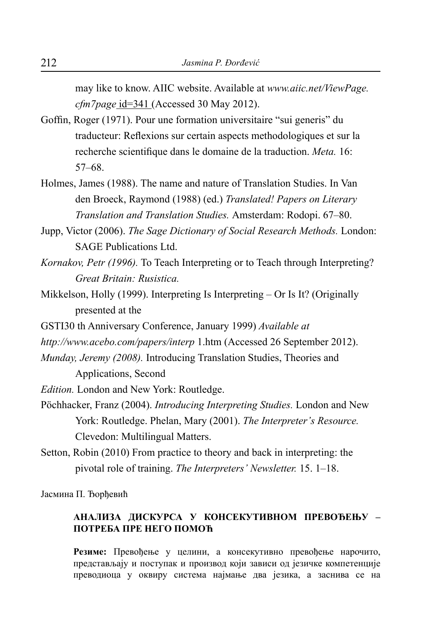may like to know. AIIC website. Available at *[www.aiic.net/ViewPage.](http://www.aiic.net/ViewPage.cfm7page) [cfm7page](http://www.aiic.net/ViewPage.cfm7page)* id=341 (Accessed 30 May 2012).

- Goffin, Roger (1971). Pour une formation universitaire "sui generis" du traducteur: Reflexions sur certain aspects methodologiques et sur la recherche scientifique dans le domaine de la traduction. *Meta.* 16: 57–68.
- Holmes, James (1988). The name and nature of Translation Studies. In Van den Broeck, Raymond (1988) (ed.) *Translated! Papers on Literary Translation and Translation Studies.* Amsterdam: Rodopi. 67–80.
- Jupp, Victor (2006). *The Sage Dictionary of Social Research Methods.* London: SAGE Publications Ltd.
- *Kornakov, Petr (1996).* To Teach Interpreting or to Teach through Interpreting? *Great Britain: Rusistica.*
- Mikkelson, Holly (1999). Interpreting Is Interpreting Or Is It? (Originally presented at the
- GSTI30 th Anniversary Conference, January 1999) *Available at*
- *[http://www.acebo.com/papers/interp](http://www.acebo.com/papers/INTERP)* 1.htm (Accessed 26 September 2012).
- *Munday, Jeremy (2008).* Introducing Translation Studies, Theories and Applications, Second

*Edition.* London and New York: Routledge.

- Pöchhacker, Franz (2004). *Introducing Interpreting Studies.* London and New York: Routledge. Phelan, Mary (2001). *The Interpreter's Resource.* Clevedon: Multilingual Matters.
- Setton, Robin (2010) From practice to theory and back in interpreting: the pivotal role of training. *The Interpreters' Newsletter.* 15. 1–18.

Јасмина П. Ђорђевић

#### **Анализа дискурса у консекутивном превођењу – потреба пре него помоћ**

**Резиме:** Превођење у целини, а консекутивно превођење нарочито, представљају и поступак и производ који зависи од језичке компетенције преводиоца у оквиру система најмање два језика, а заснива се на